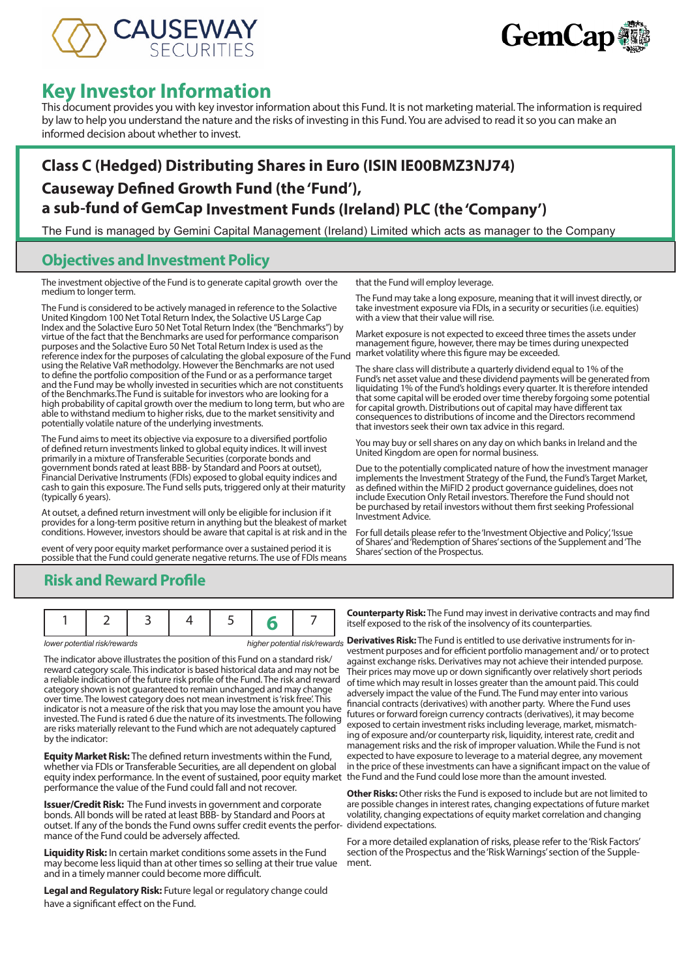



# **Key Investor Information**

This document provides you with key investor information about this Fund. It is not marketing material. The information is required by law to help you understand the nature and the risks of investing in this Fund. You are advised to read it so you can make an informed decision about whether to invest.

# **Class C (Hedged) Distributing Shares in Euro (ISIN IE00BMZ3NJ74) Causeway Defined Growth Fund (the 'Fund'), a sub-fund of GemCap Investment Funds (Ireland) PLC (the 'Company')**

The Fund is managed by Gemini Capital Management (Ireland) Limited which acts as manager to the Company

#### **Objectives and Investment Policy**

The investment objective of the Fund is to generate capital growth over the medium to longer term.

The Fund is considered to be actively managed in reference to the Solactive United Kingdom 100 Net Total Return Index, the Solactive US Large Cap Index and the Solactive Euro 50 Net Total Return Index (the "Benchmarks") by virtue of the fact that the Benchmarks are used for performance comparison purposes and the Solactive Euro 50 Net Total Return Index is used as the reference index for the purposes of calculating the global exposure of the Fund using the Relative VaR methodolgy. However the Benchmarks are not used to define the portfolio composition of the Fund or as a performance target and the Fund may be wholly invested in securities which are not constituents of the Benchmarks.The Fund is suitable for investors who are looking for a high probability of capital growth over the medium to long term, but who are able to withstand medium to higher risks, due to the market sensitivity and potentially volatile nature of the underlying investments.

The Fund aims to meet its objective via exposure to a diversified portfolio of defined return investments linked to global equity indices. It will invest primarily in a mixture of Transferable Securities (corporate bonds and government bonds rated at least BBB- by Standard and Poors at outset), Financial Derivative Instruments (FDIs) exposed to global equity indices and cash to gain this exposure. The Fund sells puts, triggered only at their maturity (typically 6 years).

At outset, a defined return investment will only be eligible for inclusion if it provides for a long-term positive return in anything but the bleakest of market conditions. However, investors should be aware that capital is at risk and in the

event of very poor equity market performance over a sustained period it is possible that the Fund could generate negative returns. The use of FDIs means

that the Fund will employ leverage.

The Fund may take a long exposure, meaning that it will invest directly, or take investment exposure via FDIs, in a security or securities (i.e. equities) with a view that their value will rise.

Market exposure is not expected to exceed three times the assets under management figure, however, there may be times during unexpected market volatility where this figure may be exceeded.

The share class will distribute a quarterly dividend equal to 1% of the Fund's net asset value and these dividend payments will be generated from liquidating 1% of the Fund's holdings every quarter. It is therefore intended that some capital will be eroded over time thereby forgoing some potential for capital growth. Distributions out of capital may have different tax consequences to distributions of income and the Directors recommend that investors seek their own tax advice in this regard.

You may buy or sell shares on any day on which banks in Ireland and the United Kingdom are open for normal business.

Due to the potentially complicated nature of how the investment manager implements the Investment Strategy of the Fund, the Fund's Target Market, as defined within the MiFID 2 product governance guidelines, does not include Execution Only Retail investors. Therefore the Fund should not be purchased by retail investors without them first seeking Professional Investment Advice.

For full details please refer to the 'Investment Objective and Policy', 'Issue of Shares' and 'Redemption of Shares' sections of the Supplement and 'The Shares' section of the Prospectus.

### **Risk and Reward Profile**

|--|--|--|--|--|--|--|--|

The indicator above illustrates the position of this Fund on a standard risk/ reward category scale. This indicator is based historical data and may not be a reliable indication of the future risk profile of the Fund. The risk and reward category shown is not guaranteed to remain unchanged and may change over time. The lowest category does not mean investment is 'risk free'. This indicator is not a measure of the risk that you may lose the amount you have invested. The Fund is rated 6 due the nature of its investments. The following are risks materially relevant to the Fund which are not adequately captured by the indicator:

**Equity Market Risk:** The defined return investments within the Fund, whether via FDIs or Transferable Securities, are all dependent on global equity index performance. In the event of sustained, poor equity market the Fund and the Fund could lose more than the amount invested. performance the value of the Fund could fall and not recover.

**Issuer/Credit Risk:** The Fund invests in government and corporate bonds. All bonds will be rated at least BBB- by Standard and Poors at outset. If any of the bonds the Fund owns suffer credit events the perfor-dividend expectations. mance of the Fund could be adversely affected.

**Liquidity Risk:** In certain market conditions some assets in the Fund may become less liquid than at other times so selling at their true value and in a timely manner could become more difficult.

**Legal and Regulatory Risk:** Future legal or regulatory change could have a significant effect on the Fund.

**Counterparty Risk:** The Fund may invest in derivative contracts and may find itself exposed to the risk of the insolvency of its counterparties.

*lower potential risk/rewards* **higher potential risk/rewards Derivatives Risk:** The Fund is entitled to use derivative instruments for investment purposes and for efficient portfolio management and/ or to protect against exchange risks. Derivatives may not achieve their intended purpose. Their prices may move up or down significantly over relatively short periods of time which may result in losses greater than the amount paid. This could adversely impact the value of the Fund. The Fund may enter into various financial contracts (derivatives) with another party. Where the Fund uses futures or forward foreign currency contracts (derivatives), it may become exposed to certain investment risks including leverage, market, mismatching of exposure and/or counterparty risk, liquidity, interest rate, credit and management risks and the risk of improper valuation. While the Fund is not expected to have exposure to leverage to a material degree, any movement in the price of these investments can have a significant impact on the value of

> **Other Risks:** Other risks the Fund is exposed to include but are not limited to are possible changes in interest rates, changing expectations of future market volatility, changing expectations of equity market correlation and changing

For a more detailed explanation of risks, please refer to the 'Risk Factors' section of the Prospectus and the 'Risk Warnings' section of the Supplement.